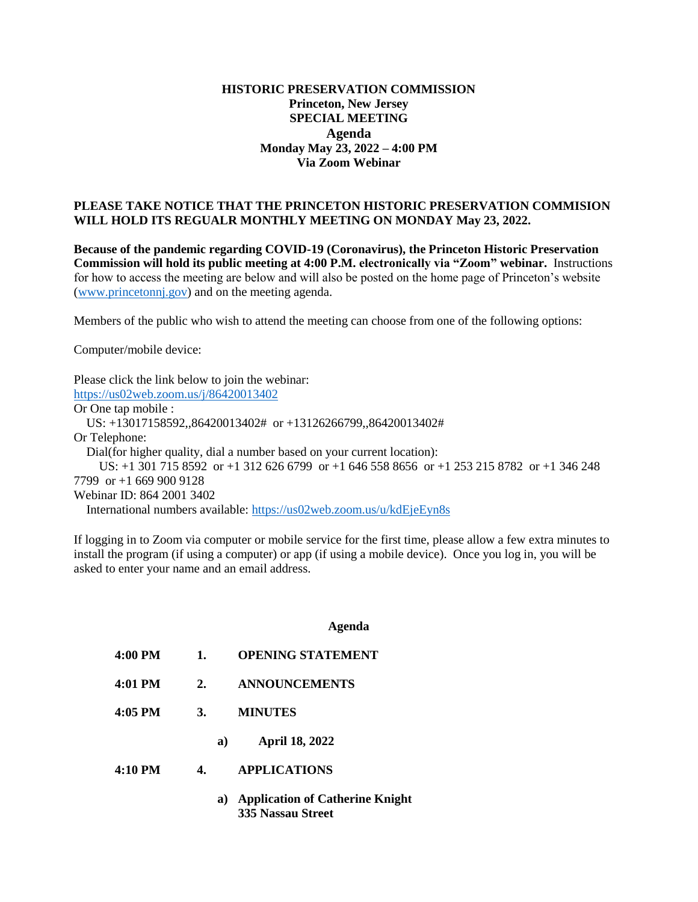## **HISTORIC PRESERVATION COMMISSION Princeton, New Jersey SPECIAL MEETING Agenda Monday May 23, 2022 – 4:00 PM Via Zoom Webinar**

## **PLEASE TAKE NOTICE THAT THE PRINCETON HISTORIC PRESERVATION COMMISION WILL HOLD ITS REGUALR MONTHLY MEETING ON MONDAY May 23, 2022.**

**Because of the pandemic regarding COVID-19 (Coronavirus), the Princeton Historic Preservation Commission will hold its public meeting at 4:00 P.M. electronically via "Zoom" webinar.** Instructions for how to access the meeting are below and will also be posted on the home page of Princeton's website [\(www.princetonnj.gov\)](http://www.princetonnj.gov/) and on the meeting agenda.

Members of the public who wish to attend the meeting can choose from one of the following options:

Computer/mobile device:

Please click the link below to join the webinar: <https://us02web.zoom.us/j/86420013402> Or One tap mobile : US: +13017158592,,86420013402# or +13126266799,,86420013402# Or Telephone: Dial(for higher quality, dial a number based on your current location): US: +1 301 715 8592 or +1 312 626 6799 or +1 646 558 8656 or +1 253 215 8782 or +1 346 248 7799 or +1 669 900 9128 Webinar ID: 864 2001 3402 International numbers available:<https://us02web.zoom.us/u/kdEjeEyn8s>

If logging in to Zoom via computer or mobile service for the first time, please allow a few extra minutes to install the program (if using a computer) or app (if using a mobile device). Once you log in, you will be asked to enter your name and an email address.

## **Agenda**

- **4:00 PM 1. OPENING STATEMENT**
- **4:01 PM 2. ANNOUNCEMENTS**
- **4:05 PM 3. MINUTES**
	- **a) April 18, 2022**
- **4:10 PM 4. APPLICATIONS**
	- **a) Application of Catherine Knight 335 Nassau Street**